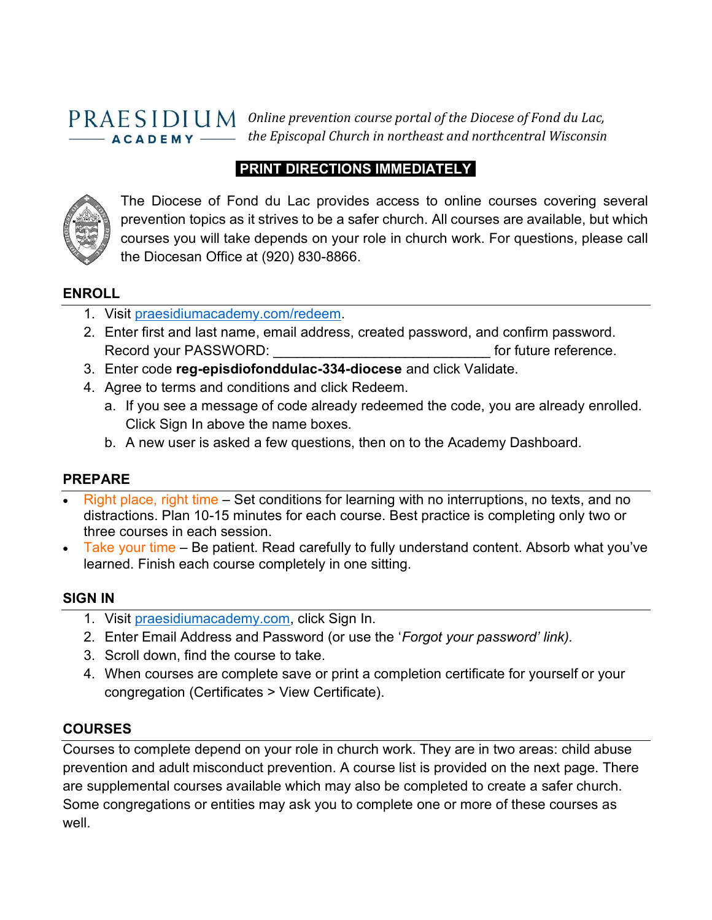#### $PRAESIDIUM$  Online prevention course portal of the Diocese of Fond du Lac, the Episcopal Church in northeast and northcentral Wisconsin  $-$  ACADEMY —

# PRINT DIRECTIONS IMMEDIATELY.



The Diocese of Fond du Lac provides access to online courses covering several prevention topics as it strives to be a safer church. All courses are available, but which courses you will take depends on your role in church work. For questions, please call the Diocesan Office at (920) 830-8866.

### ENROLL

- 1. Visit praesidiumacademy.com/redeem.
- 2. Enter first and last name, email address, created password, and confirm password. Record your PASSWORD:  $\qquad \qquad$  for future reference.
- 3. Enter code reg-episdiofonddulac-334-diocese and click Validate.
- 4. Agree to terms and conditions and click Redeem.
	- a. If you see a message of code already redeemed the code, you are already enrolled. Click Sign In above the name boxes.
	- b. A new user is asked a few questions, then on to the Academy Dashboard.

### PREPARE

- Right place, right time Set conditions for learning with no interruptions, no texts, and no distractions. Plan 10-15 minutes for each course. Best practice is completing only two or three courses in each session.
- $\bullet$  Take your time Be patient. Read carefully to fully understand content. Absorb what you've learned. Finish each course completely in one sitting.

### SIGN IN

- 1. Visit praesidiumacademy.com, click Sign In.
- 2. Enter Email Address and Password (or use the 'Forgot your password' link).
- 3. Scroll down, find the course to take.
- 4. When courses are complete save or print a completion certificate for yourself or your congregation (Certificates > View Certificate).

### **COURSES**

Courses to complete depend on your role in church work. They are in two areas: child abuse prevention and adult misconduct prevention. A course list is provided on the next page. There are supplemental courses available which may also be completed to create a safer church. Some congregations or entities may ask you to complete one or more of these courses as well.